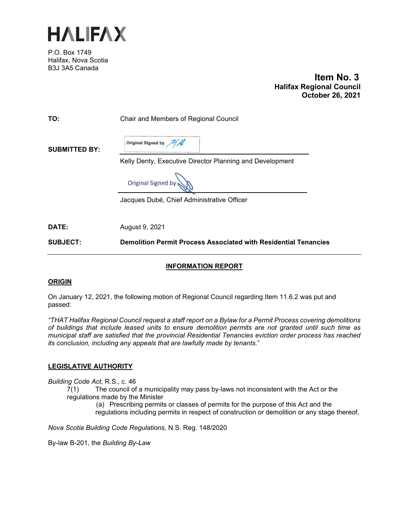

P.O. Box 1749 Halifax, Nova Scotia B3J 3A5 Canada

 **Item No. 3 Halifax Regional Council October 26, 2021**

| <b>SUBJECT:</b>      | <b>Demolition Permit Process Associated with Residential Tenancies</b> |
|----------------------|------------------------------------------------------------------------|
| DATE:                | August 9, 2021                                                         |
|                      | Jacques Dubé, Chief Administrative Officer                             |
|                      | Original Signed by                                                     |
|                      | Kelly Denty, Executive Director Planning and Development               |
| <b>SUBMITTED BY:</b> | Original Signed by All                                                 |
| TO:                  | Chair and Members of Regional Council                                  |

# **INFORMATION REPORT**

## **ORIGIN**

On January 12, 2021, the following motion of Regional Council regarding Item 11.6.2 was put and passed:

*"THAT Halifax Regional Council request a staff report on a Bylaw for a Permit Process covering demolitions of buildings that include leased units to ensure demolition permits are not granted until such time as municipal staff are satisfied that the provincial Residential Tenancies eviction order process has reached its conclusion, including any appeals that are lawfully made by tenants.*"

## **LEGISLATIVE AUTHORITY**

*Building Code Act*, R.S., c. 46

7(1) The council of a municipality may pass by-laws not inconsistent with the Act or the regulations made by the Minister

(a) Prescribing permits or classes of permits for the purpose of this Act and the regulations including permits in respect of construction or demolition or any stage thereof,

*Nova Scotia Building Code Regulations,* N.S. Reg. 148/2020

By-law B-201, the *Building By-Law*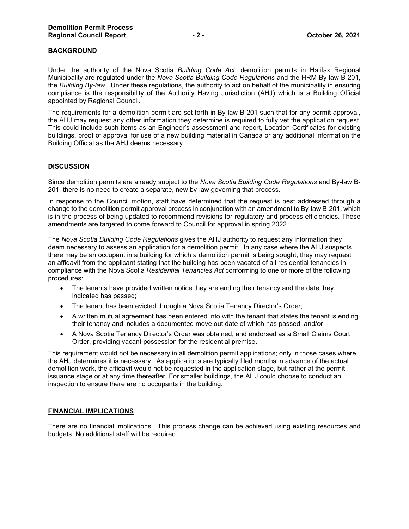## **BACKGROUND**

Under the authority of the Nova Scotia *Building Code Act*, demolition permits in Halifax Regional Municipality are regulated under the *Nova Scotia Building Code Regulations* and the HRM By-law B-201, the *Building By-law*. Under these regulations, the authority to act on behalf of the municipality in ensuring compliance is the responsibility of the Authority Having Jurisdiction (AHJ) which is a Building Official appointed by Regional Council.

The requirements for a demolition permit are set forth in By-law B-201 such that for any permit approval, the AHJ may request any other information they determine is required to fully vet the application request. This could include such items as an Engineer's assessment and report, Location Certificates for existing buildings, proof of approval for use of a new building material in Canada or any additional information the Building Official as the AHJ deems necessary.

#### **DISCUSSION**

Since demolition permits are already subject to the *Nova Scotia Building Code Regulations* and By-law B-201, there is no need to create a separate, new by-law governing that process.

In response to the Council motion, staff have determined that the request is best addressed through a change to the demolition permit approval process in conjunction with an amendment to By-law B-201, which is in the process of being updated to recommend revisions for regulatory and process efficiencies. These amendments are targeted to come forward to Council for approval in spring 2022.

The *Nova Scotia Building Code Regulations* gives the AHJ authority to request any information they deem necessary to assess an application for a demolition permit. In any case where the AHJ suspects there may be an occupant in a building for which a demolition permit is being sought, they may request an affidavit from the applicant stating that the building has been vacated of all residential tenancies in compliance with the Nova Scotia *Residential Tenancies Act* conforming to one or more of the following procedures:

- The tenants have provided written notice they are ending their tenancy and the date they indicated has passed;
- The tenant has been evicted through a Nova Scotia Tenancy Director's Order;
- A written mutual agreement has been entered into with the tenant that states the tenant is ending their tenancy and includes a documented move out date of which has passed; and/or
- A Nova Scotia Tenancy Director's Order was obtained, and endorsed as a Small Claims Court Order, providing vacant possession for the residential premise.

This requirement would not be necessary in all demolition permit applications; only in those cases where the AHJ determines it is necessary. As applications are typically filed months in advance of the actual demolition work, the affidavit would not be requested in the application stage, but rather at the permit issuance stage or at any time thereafter. For smaller buildings, the AHJ could choose to conduct an inspection to ensure there are no occupants in the building.

### **FINANCIAL IMPLICATIONS**

There are no financial implications. This process change can be achieved using existing resources and budgets. No additional staff will be required.